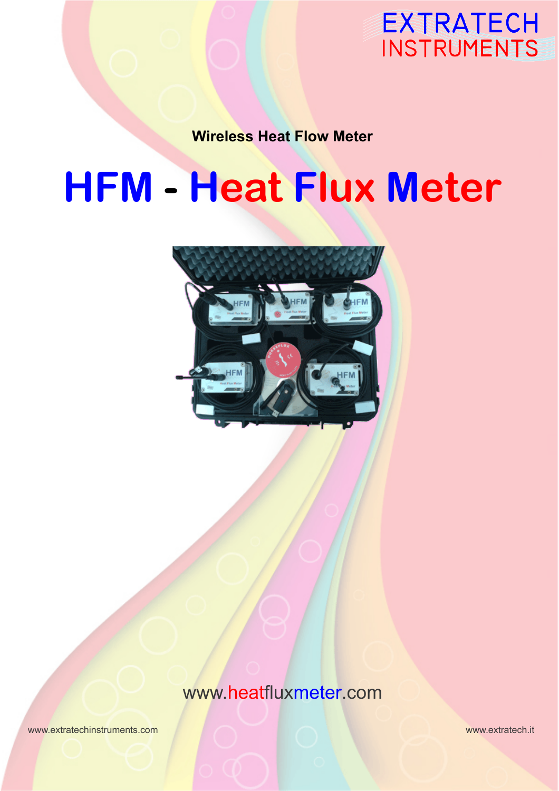

**Wireless Heat Flow Meter**

# **HFM - Heat Flux Meter**



www.heatfluxmeter.com

www.extratechinstruments.com www.extratech.it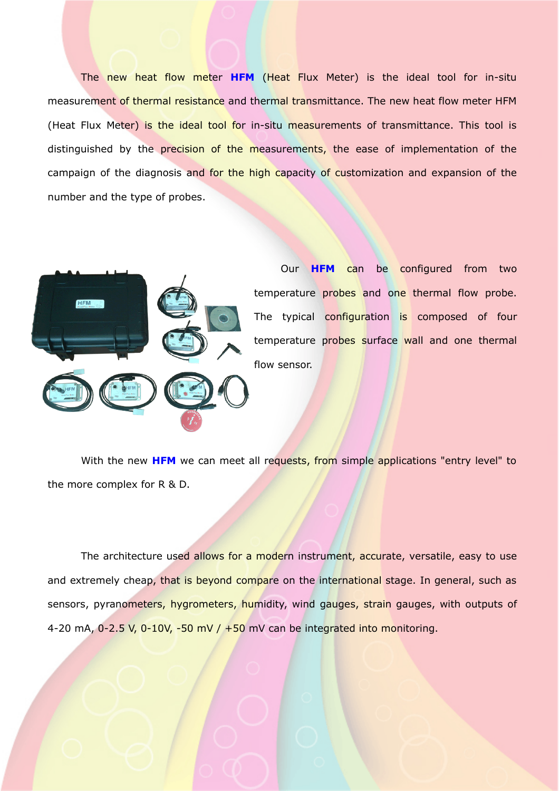The new heat flow meter **HFM** (Heat Flux Meter) is the ideal tool for in-situ measurement of thermal resistance and thermal transmittance. The new heat flow meter HFM (Heat Flux Meter) is the ideal tool for in-situ measurements of transmittance. This tool is distinguished by the precision of the measurements, the ease of implementation of the campaign of the diagnosis and for the high capacity of customization and expansion of the number and the type of probes.



Our **HFM** can be configured from two temperature probes and one thermal flow probe. The typical configuration is composed of four temperature probes surface wall and one thermal flow sensor.

With the new HFM we can meet all requests, from simple applications "entry level" to the more complex for R & D.

The architecture used allows for a modern instrument, accurate, versatile, easy to use and extremely cheap, that is beyond compare on the international stage. In general, such as sensors, pyranometers, hygrometers, humidity, wind gauges, strain gauges, with outputs of 4-20 mA,  $0-2.5$  V,  $0-10V$ ,  $-50$  mV /  $+50$  mV can be integrated into monitoring.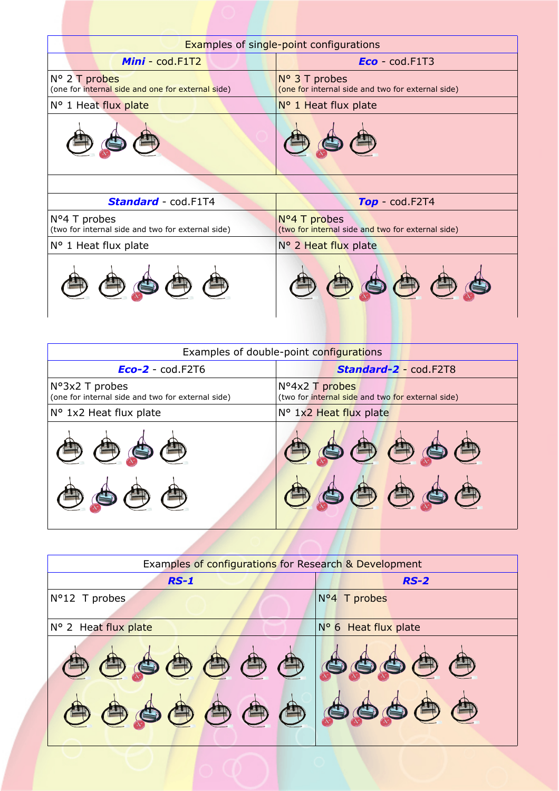| <b>Examples of single-point configurations</b>                             |                                                                             |
|----------------------------------------------------------------------------|-----------------------------------------------------------------------------|
| Mini cod.F1T2                                                              | $Eco$ cod. F1T3                                                             |
| N° 2 T probes<br>(one for internal side and one for external side)         | $N^{\circ}$ 3 T probes<br>(one for internal side and two for external side) |
| N° 1 Heat flux plate                                                       | $N^{\circ}$ 1 Heat flux plate                                               |
|                                                                            |                                                                             |
|                                                                            |                                                                             |
| <b>Standard</b> cod.F1T4                                                   | $Top - cod.F2T4$                                                            |
| $N^{\circ}4$ T probes<br>(two for internal side and two for external side) | Nº4 T probes<br>(two for internal side and two for external side)           |
| N° 1 Heat flux plate                                                       | N° 2 Heat flux plate                                                        |
|                                                                            |                                                                             |

| Examples of double-point configurations                             |                                                                     |
|---------------------------------------------------------------------|---------------------------------------------------------------------|
| $Eco-2 - cod.F2T6$                                                  | <b>Standard-2 - cod.F2T8</b>                                        |
| N°3x2 T probes<br>(one for internal side and two for external side) | Nº4x2 T probes<br>(two for internal side and two for external side) |
| N° 1x2 Heat flux plate                                              | N° 1x2 Heat flux plate                                              |
|                                                                     |                                                                     |
|                                                                     |                                                                     |

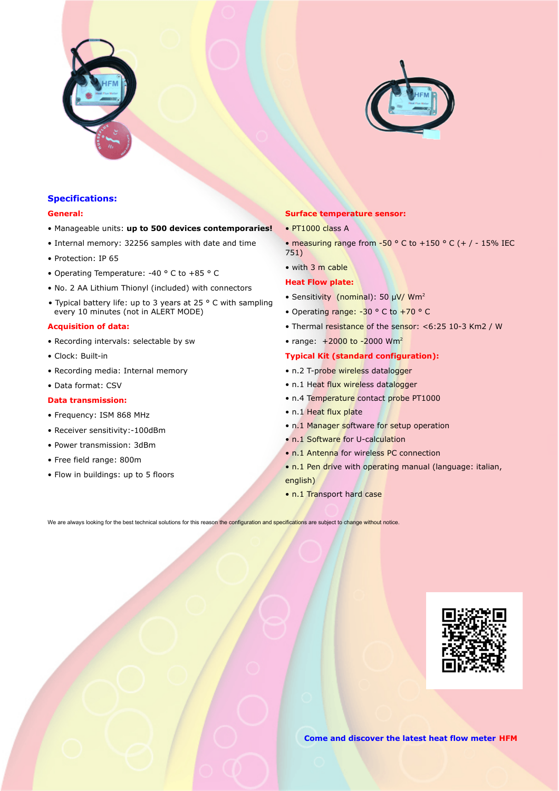



# **Specifications:**

#### **General:**

- Manageable units: **up to 500 devices contemporaries!**
- Internal memory: 32256 samples with date and time
- Protection: IP 65
- Operating Temperature: -40 ° C to +85 ° C
- No. 2 AA Lithium Thionyl (included) with connectors
- Typical battery life: up to 3 years at 25 ° C with sampling every 10 minutes (not in ALERT MODE)

## **Acquisition of data:**

- Recording intervals: selectable by sw
- Clock: Built-in
- Recording media: Internal memory
- Data format: CSV

## **Data transmission:**

- Frequency: ISM 868 MHz
- Receiver sensitivity:-100dBm
- Power transmission: 3dBm
- Free field range: 800m
- Flow in buildings: up to 5 floors

#### **Surface temperature sensor:**

- PT1000 class A
- measuring range from -50  $\degree$  C to +150  $\degree$  C (+ / 15% IEC 751)
- with 3 m cable

### **Heat Flow plate:**

- Sensitivity (nominal): 50 μV/ Wm<sup>2</sup>
- Operating range: -30 ° C to +70 ° C
- Thermal resistance of the sensor: <6:25 10-3 Km2 / W
- range:  $+2000$  to -2000 Wm<sup>2</sup>

# **Typical Kit (standard configuration):**

- n.2 T-probe wireless datalogger
- n.1 Heat flux wireless datalogger
- n.4 Temperature contact probe PT1000
- n.1 Heat flux plate
- n.1 Manager software for setup operation
- n.1 Software for U-calculation
- n.1 Antenna for wireless PC connection
- n.1 Pen drive with operating manual (language: italian, english)
- n.1 Transport hard case

We are always looking for the best technical solutions for this reason the configuration and specifications are subject to change without notice.



**Come and discover the latest heat flow meter HFM**